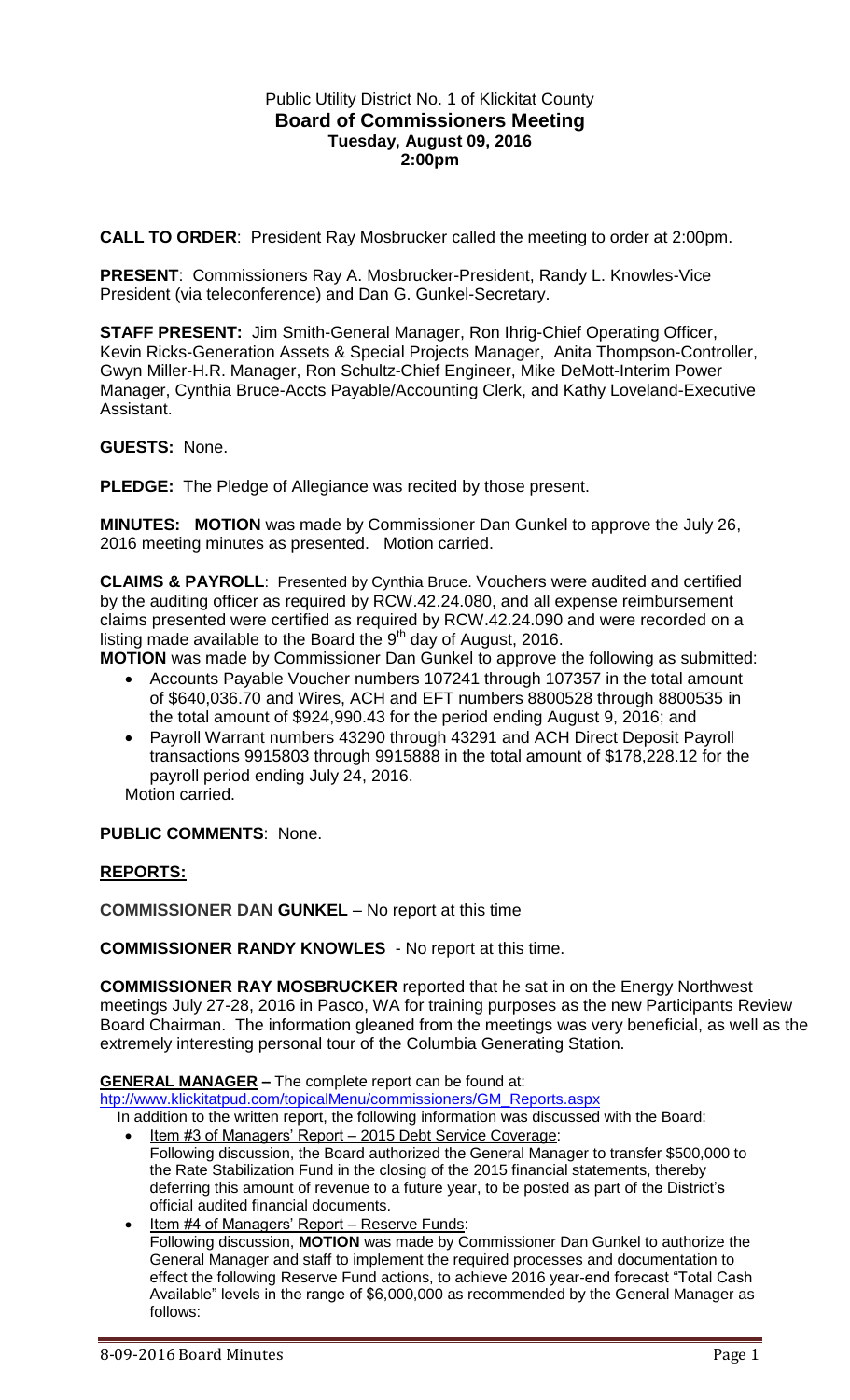# Public Utility District No. 1 of Klickitat County **Board of Commissioners Meeting Tuesday, August 09, 2016 2:00pm**

**CALL TO ORDER**: President Ray Mosbrucker called the meeting to order at 2:00pm.

**PRESENT**: Commissioners Ray A. Mosbrucker-President, Randy L. Knowles-Vice President (via teleconference) and Dan G. Gunkel-Secretary.

**STAFF PRESENT:** Jim Smith-General Manager, Ron Ihrig-Chief Operating Officer, Kevin Ricks-Generation Assets & Special Projects Manager, Anita Thompson-Controller, Gwyn Miller-H.R. Manager, Ron Schultz-Chief Engineer, Mike DeMott-Interim Power Manager, Cynthia Bruce-Accts Payable/Accounting Clerk, and Kathy Loveland-Executive Assistant.

#### **GUESTS:** None.

**PLEDGE:** The Pledge of Allegiance was recited by those present.

**MINUTES: MOTION** was made by Commissioner Dan Gunkel to approve the July 26, 2016 meeting minutes as presented. Motion carried.

**CLAIMS & PAYROLL**: Presented by Cynthia Bruce. Vouchers were audited and certified by the auditing officer as required by RCW.42.24.080, and all expense reimbursement claims presented were certified as required by RCW.42.24.090 and were recorded on a listing made available to the Board the  $9<sup>th</sup>$  day of August, 2016.

**MOTION** was made by Commissioner Dan Gunkel to approve the following as submitted:

- Accounts Payable Voucher numbers 107241 through 107357 in the total amount of \$640,036.70 and Wires, ACH and EFT numbers 8800528 through 8800535 in the total amount of \$924,990.43 for the period ending August 9, 2016; and
- Payroll Warrant numbers 43290 through 43291 and ACH Direct Deposit Payroll transactions 9915803 through 9915888 in the total amount of \$178,228.12 for the payroll period ending July 24, 2016.

Motion carried.

## **PUBLIC COMMENTS**: None.

## **REPORTS:**

**COMMISSIONER DAN GUNKEL** – No report at this time

**COMMISSIONER RANDY KNOWLES** - No report at this time.

**COMMISSIONER RAY MOSBRUCKER** reported that he sat in on the Energy Northwest meetings July 27-28, 2016 in Pasco, WA for training purposes as the new Participants Review Board Chairman. The information gleaned from the meetings was very beneficial, as well as the extremely interesting personal tour of the Columbia Generating Station.

#### **GENERAL MANAGER –** The complete report can be found at:

[htp://www.klickitatpud.com/topicalMenu/commissioners/GM\\_Reports.aspx](http://www.klickitatpud.com/topicalMenu/commissioners/GM_Reports.aspx)

 In addition to the written report, the following information was discussed with the Board: Item #3 of Managers' Report – 2015 Debt Service Coverage:

- Following discussion, the Board authorized the General Manager to transfer \$500,000 to the Rate Stabilization Fund in the closing of the 2015 financial statements, thereby deferring this amount of revenue to a future year, to be posted as part of the District's official audited financial documents.
- Item #4 of Managers' Report Reserve Funds: Following discussion, **MOTION** was made by Commissioner Dan Gunkel to authorize the General Manager and staff to implement the required processes and documentation to effect the following Reserve Fund actions, to achieve 2016 year-end forecast "Total Cash Available" levels in the range of \$6,000,000 as recommended by the General Manager as follows: